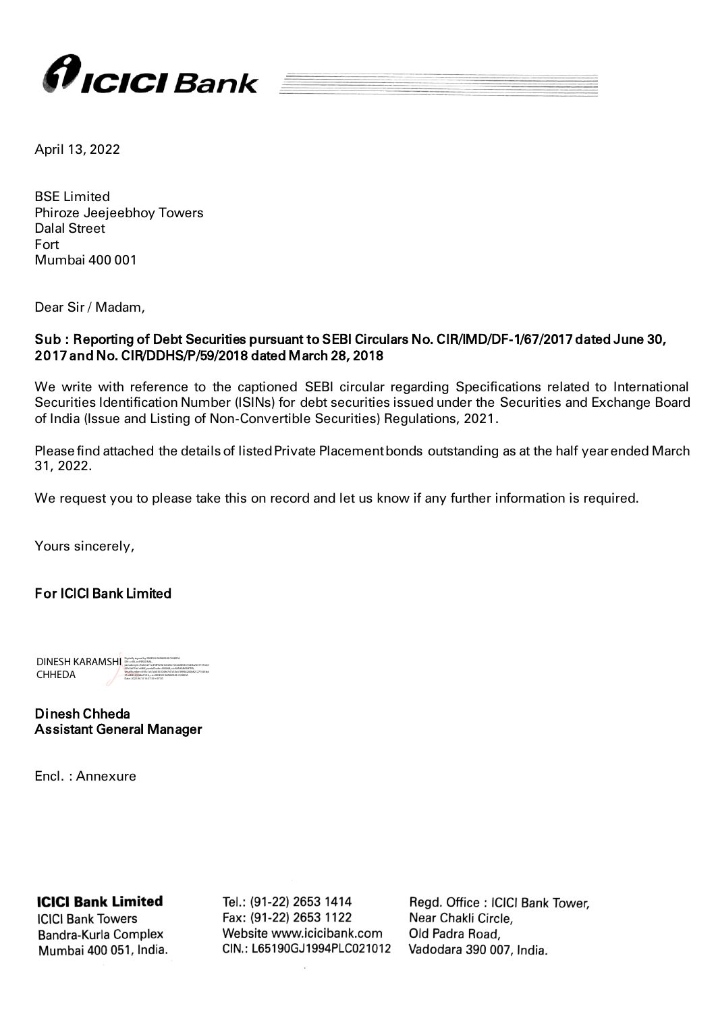

April 13, 2022

BSE Limited Phiroze Jeejeebhoy Towers Dalal Street Fort Mumbai 400 001

Dear Sir / Madam,

## Sub : Reporting of Debt Securities pursuant to SEBI Circulars No. CIR/IMD/DF-1/67/2017 dated June 30, 2017 and No. CIR/DDHS/P/59/2018 dated March 28, 2018

We write with reference to the captioned SEBI circular regarding Specifications related to International Securities Identification Number (ISINs) for debt securities issued under the Securities and Exchange Board of India (Issue and Listing of Non-Convertible Securities) Regulations, 2021.

Please find attached the details of listed Private Placement bonds outstanding as at the half year ended March 31, 2022.

We request you to please take this on record and let us know if any further information is required.

Yours sincerely,

For ICICI Bank Limited

 DINESH KARAMSHI **CHHEDA** Digitally signed by DINESH KARAMSHI CHHEDA DN: c=IN, o=PERSONAL, pseudonym=f32e6271cd78f9e9d1ded5e7e4cb0803673d3b2641751664 92fc5d01fe1c680f, postalCode=400068, st=MAHARASHTRA, serialNumber=695c1c67cb0355049e7d7c50c6189f44200b821277445bd 21a28474982bd7416, cn=DINESH KARAMSHI CHHEDA Date: 2022.04.13 16:37:39 +05'30'

Dinesh Chheda Assistant General Manager

Encl. : Annexure

## **ICICI Bank Limited**

**ICICI Bank Towers** Bandra-Kurla Complex Mumbai 400 051, India. Tel.: (91-22) 2653 1414 Fax: (91-22) 2653 1122 Website www.icicibank.com CIN.: L65190GJ1994PLC021012 Regd. Office: ICICI Bank Tower, Near Chakli Circle, Old Padra Road, Vadodara 390 007, India.